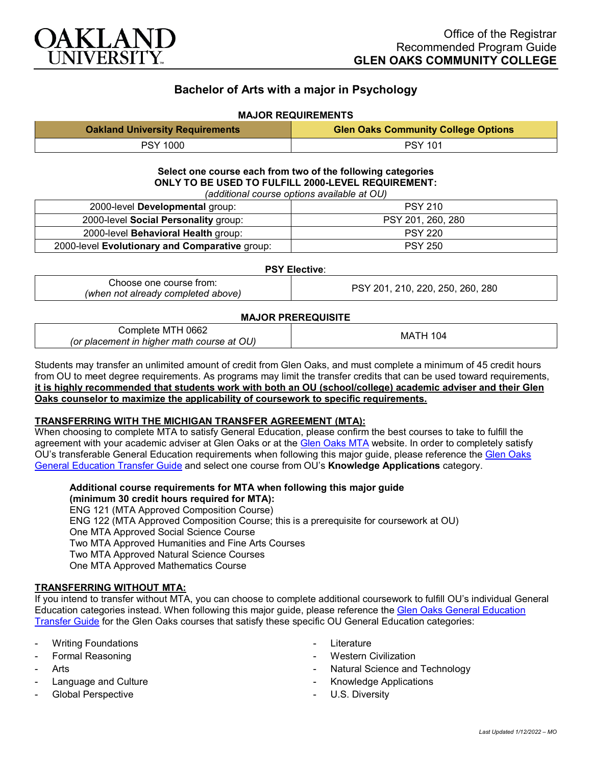

# **Bachelor of Arts with a major in Psychology**

## **MAJOR REQUIREMENTS**

| <b>Oakland University Requirements</b> | <b>Glen Oaks Community College Options</b> |
|----------------------------------------|--------------------------------------------|
| <b>PSY 1000</b>                        | <b>PSY 101</b>                             |

**Select one course each from two of the following categories ONLY TO BE USED TO FULFILL 2000-LEVEL REQUIREMENT:** *(additional course options available at OU)*

| 2000-level Developmental group:                | <b>PSY 210</b>    |
|------------------------------------------------|-------------------|
| 2000-level Social Personality group:           | PSY 201, 260, 280 |
| 2000-level Behavioral Health group:            | <b>PSY 220</b>    |
| 2000-level Evolutionary and Comparative group: | <b>PSY 250</b>    |

#### **PSY Elective**:

| Choose one course from:            | PSY 201, 210, 220, 250, 260, 280 |
|------------------------------------|----------------------------------|
| (when not already completed above) |                                  |

## **MAJOR PREREQUISITE**

| 0662<br>Complete MTH                       | 104<br>ΓH<br>MA. |
|--------------------------------------------|------------------|
| (or placement in higher math course at OU) |                  |

Students may transfer an unlimited amount of credit from Glen Oaks, and must complete a minimum of 45 credit hours from OU to meet degree requirements. As programs may limit the transfer credits that can be used toward requirements, **it is highly recommended that students work with both an OU (school/college) academic adviser and their Glen Oaks counselor to maximize the applicability of coursework to specific requirements.**

## **TRANSFERRING WITH THE MICHIGAN TRANSFER AGREEMENT (MTA):**

When choosing to complete MTA to satisfy General Education, please confirm the best courses to take to fulfill the agreement with your academic adviser at Glen Oaks or at the [Glen Oaks MTA](https://www.glenoaks.edu/current-students/registration-records/#MTA) website. In order to completely satisfy OU's transferable General Education requirements when following this major guide, please reference the [Glen Oaks](https://www.oakland.edu/Assets/Oakland/program-guides/glen-oaks-community-college/university-general-education-requirements/Glen%20Oaks%20Gen%20Ed.pdf)  [General Education Transfer Guide](https://www.oakland.edu/Assets/Oakland/program-guides/glen-oaks-community-college/university-general-education-requirements/Glen%20Oaks%20Gen%20Ed.pdf) and select one course from OU's **Knowledge Applications** category.

**Additional course requirements for MTA when following this major guide (minimum 30 credit hours required for MTA):**

ENG 121 (MTA Approved Composition Course) ENG 122 (MTA Approved Composition Course; this is a prerequisite for coursework at OU) One MTA Approved Social Science Course Two MTA Approved Humanities and Fine Arts Courses Two MTA Approved Natural Science Courses One MTA Approved Mathematics Course

## **TRANSFERRING WITHOUT MTA:**

If you intend to transfer without MTA, you can choose to complete additional coursework to fulfill OU's individual General Education categories instead. When following this major guide, please reference the Glen Oaks General Education [Transfer Guide](https://www.oakland.edu/Assets/Oakland/program-guides/glen-oaks-community-college/university-general-education-requirements/Glen%20Oaks%20Gen%20Ed.pdf) for the Glen Oaks courses that satisfy these specific OU General Education categories:

- **Writing Foundations**
- Formal Reasoning
- **Arts**
- Language and Culture
- Global Perspective
- Literature
- **Western Civilization**
- Natural Science and Technology
- Knowledge Applications
- U.S. Diversity